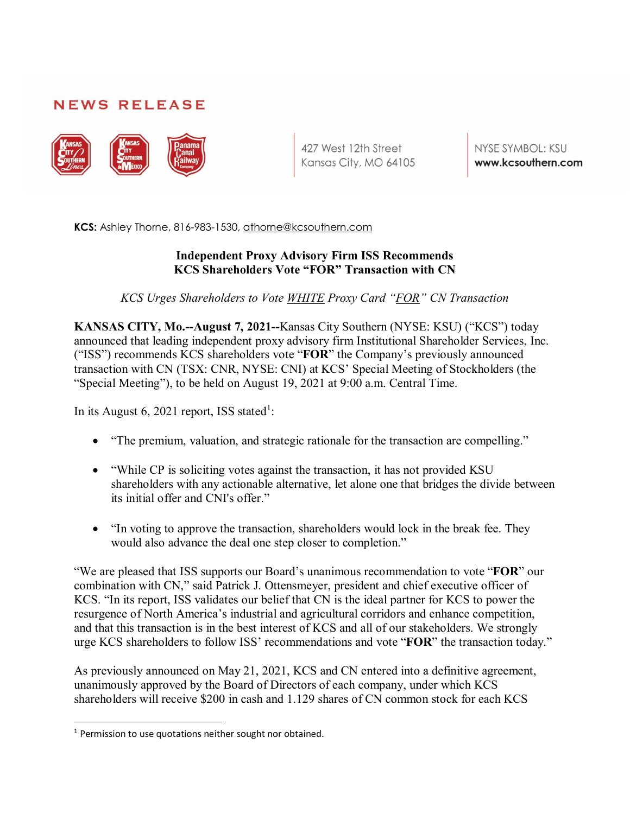# **NEWS RELEASE**



427 West 12th Street Kansas City, MO 64105

NYSE SYMBOL: KSU www.kcsouthern.com

**KCS:** Ashley Thorne, 816-983-1530, athorne@kcsouthern.com

#### **Independent Proxy Advisory Firm ISS Recommends KCS Shareholders Vote "FOR" Transaction with CN**

*KCS Urges Shareholders to Vote WHITE Proxy Card "FOR" CN Transaction*

**KANSAS CITY, Mo.--August 7, 2021--**Kansas City Southern (NYSE: KSU) ("KCS") today announced that leading independent proxy advisory firm Institutional Shareholder Services, Inc. ("ISS") recommends KCS shareholders vote "**FOR**" the Company's previously announced transaction with CN (TSX: CNR, NYSE: CNI) at KCS' Special Meeting of Stockholders (the "Special Meeting"), to be held on August 19, 2021 at 9:00 a.m. Central Time.

In its August 6, 202[1](#page-0-0) report, ISS stated<sup>1</sup>:

- "The premium, valuation, and strategic rationale for the transaction are compelling."
- "While CP is soliciting votes against the transaction, it has not provided KSU shareholders with any actionable alternative, let alone one that bridges the divide between its initial offer and CNI's offer."
- "In voting to approve the transaction, shareholders would lock in the break fee. They would also advance the deal one step closer to completion."

"We are pleased that ISS supports our Board's unanimous recommendation to vote "**FOR**" our combination with CN," said Patrick J. Ottensmeyer, president and chief executive officer of KCS. "In its report, ISS validates our belief that CN is the ideal partner for KCS to power the resurgence of North America's industrial and agricultural corridors and enhance competition, and that this transaction is in the best interest of KCS and all of our stakeholders. We strongly urge KCS shareholders to follow ISS' recommendations and vote "**FOR**" the transaction today."

As previously announced on May 21, 2021, KCS and CN entered into a definitive agreement, unanimously approved by the Board of Directors of each company, under which KCS shareholders will receive \$200 in cash and 1.129 shares of CN common stock for each KCS

<span id="page-0-0"></span> $\overline{a}$  $1$  Permission to use quotations neither sought nor obtained.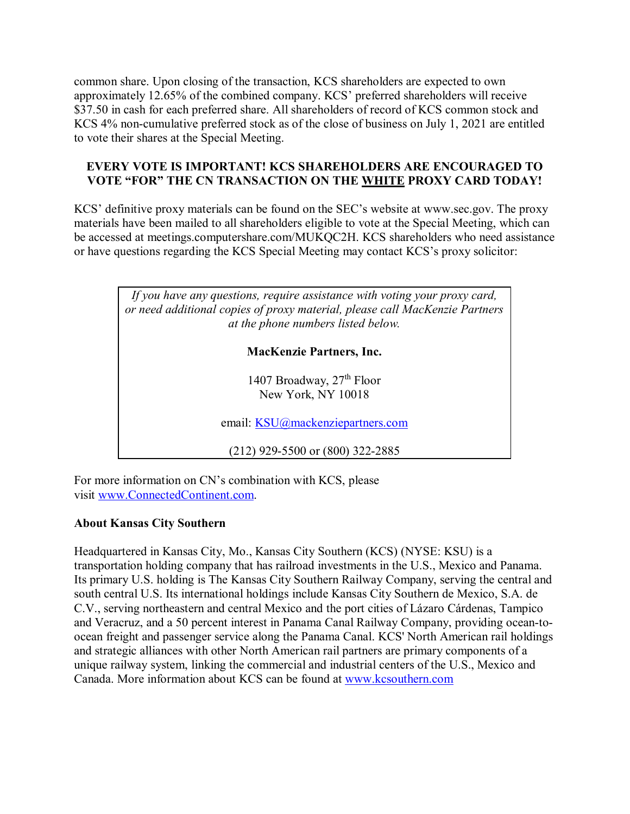common share. Upon closing of the transaction, KCS shareholders are expected to own approximately 12.65% of the combined company. KCS' preferred shareholders will receive \$37.50 in cash for each preferred share. All shareholders of record of KCS common stock and KCS 4% non-cumulative preferred stock as of the close of business on July 1, 2021 are entitled to vote their shares at the Special Meeting.

## **EVERY VOTE IS IMPORTANT! KCS SHAREHOLDERS ARE ENCOURAGED TO VOTE "FOR" THE CN TRANSACTION ON THE WHITE PROXY CARD TODAY!**

KCS' definitive proxy materials can be found on the SEC's website at www.sec.gov. The proxy materials have been mailed to all shareholders eligible to vote at the Special Meeting, which can be accessed at meetings.computershare.com/MUKQC2H. KCS shareholders who need assistance or have questions regarding the KCS Special Meeting may contact KCS's proxy solicitor:



For more information on CN's combination with KCS, please visit [www.ConnectedContinent.com.](https://cts.businesswire.com/ct/CT?id=smartlink&url=http%3A%2F%2Fwww.ConnectedContinent.com&esheet=52469468&newsitemid=20210802005211&lan=en-US&anchor=www.ConnectedContinent.com&index=2&md5=073562d2bc5a6a3775203066bf5d9730)

## **About Kansas City Southern**

Headquartered in Kansas City, Mo., Kansas City Southern (KCS) (NYSE: KSU) is a transportation holding company that has railroad investments in the U.S., Mexico and Panama. Its primary U.S. holding is The Kansas City Southern Railway Company, serving the central and south central U.S. Its international holdings include Kansas City Southern de Mexico, S.A. de C.V., serving northeastern and central Mexico and the port cities of Lázaro Cárdenas, Tampico and Veracruz, and a 50 percent interest in Panama Canal Railway Company, providing ocean-toocean freight and passenger service along the Panama Canal. KCS' North American rail holdings and strategic alliances with other North American rail partners are primary components of a unique railway system, linking the commercial and industrial centers of the U.S., Mexico and Canada. More information about KCS can be found at [www.kcsouthern.com](https://cts.businesswire.com/ct/CT?id=smartlink&url=http%3A%2F%2Fwww.kcsouthern.com&esheet=52469468&newsitemid=20210802005211&lan=en-US&anchor=www.kcsouthern.com&index=3&md5=6ea848fe2affc56fd9a9ebf3ecc41841)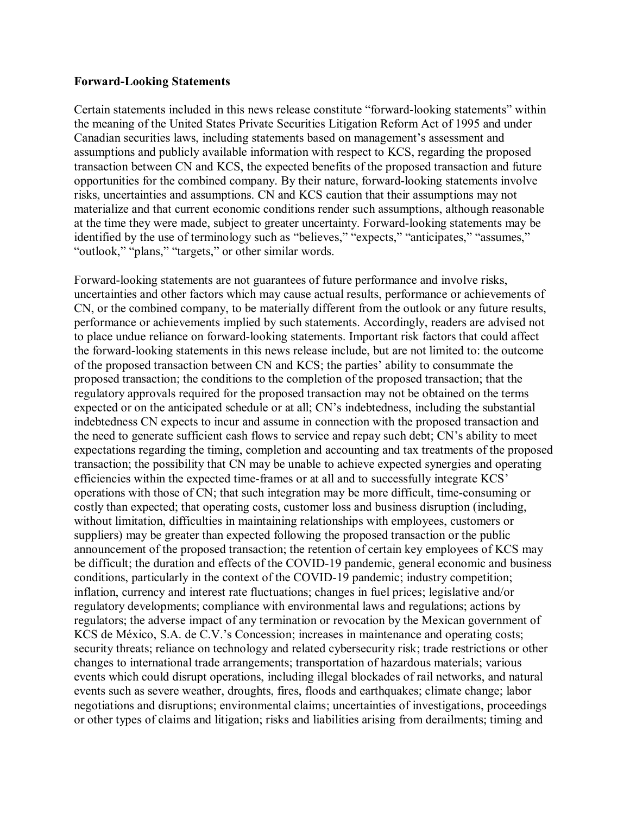#### **Forward-Looking Statements**

Certain statements included in this news release constitute "forward-looking statements" within the meaning of the United States Private Securities Litigation Reform Act of 1995 and under Canadian securities laws, including statements based on management's assessment and assumptions and publicly available information with respect to KCS, regarding the proposed transaction between CN and KCS, the expected benefits of the proposed transaction and future opportunities for the combined company. By their nature, forward-looking statements involve risks, uncertainties and assumptions. CN and KCS caution that their assumptions may not materialize and that current economic conditions render such assumptions, although reasonable at the time they were made, subject to greater uncertainty. Forward-looking statements may be identified by the use of terminology such as "believes," "expects," "anticipates," "assumes," "outlook," "plans," "targets," or other similar words.

Forward-looking statements are not guarantees of future performance and involve risks, uncertainties and other factors which may cause actual results, performance or achievements of CN, or the combined company, to be materially different from the outlook or any future results, performance or achievements implied by such statements. Accordingly, readers are advised not to place undue reliance on forward-looking statements. Important risk factors that could affect the forward-looking statements in this news release include, but are not limited to: the outcome of the proposed transaction between CN and KCS; the parties' ability to consummate the proposed transaction; the conditions to the completion of the proposed transaction; that the regulatory approvals required for the proposed transaction may not be obtained on the terms expected or on the anticipated schedule or at all; CN's indebtedness, including the substantial indebtedness CN expects to incur and assume in connection with the proposed transaction and the need to generate sufficient cash flows to service and repay such debt; CN's ability to meet expectations regarding the timing, completion and accounting and tax treatments of the proposed transaction; the possibility that CN may be unable to achieve expected synergies and operating efficiencies within the expected time-frames or at all and to successfully integrate KCS' operations with those of CN; that such integration may be more difficult, time-consuming or costly than expected; that operating costs, customer loss and business disruption (including, without limitation, difficulties in maintaining relationships with employees, customers or suppliers) may be greater than expected following the proposed transaction or the public announcement of the proposed transaction; the retention of certain key employees of KCS may be difficult; the duration and effects of the COVID-19 pandemic, general economic and business conditions, particularly in the context of the COVID-19 pandemic; industry competition; inflation, currency and interest rate fluctuations; changes in fuel prices; legislative and/or regulatory developments; compliance with environmental laws and regulations; actions by regulators; the adverse impact of any termination or revocation by the Mexican government of KCS de México, S.A. de C.V.'s Concession; increases in maintenance and operating costs; security threats; reliance on technology and related cybersecurity risk; trade restrictions or other changes to international trade arrangements; transportation of hazardous materials; various events which could disrupt operations, including illegal blockades of rail networks, and natural events such as severe weather, droughts, fires, floods and earthquakes; climate change; labor negotiations and disruptions; environmental claims; uncertainties of investigations, proceedings or other types of claims and litigation; risks and liabilities arising from derailments; timing and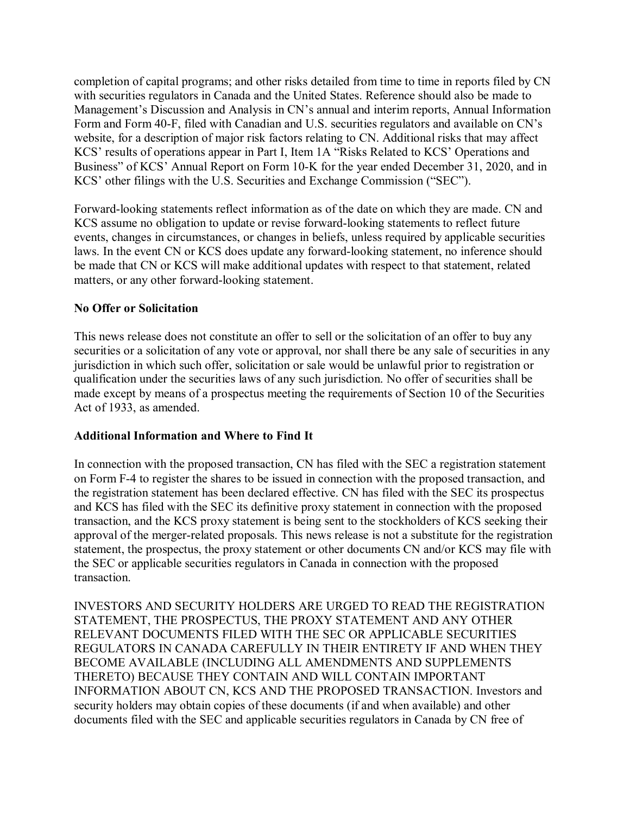completion of capital programs; and other risks detailed from time to time in reports filed by CN with securities regulators in Canada and the United States. Reference should also be made to Management's Discussion and Analysis in CN's annual and interim reports, Annual Information Form and Form 40-F, filed with Canadian and U.S. securities regulators and available on CN's website, for a description of major risk factors relating to CN. Additional risks that may affect KCS' results of operations appear in Part I, Item 1A "Risks Related to KCS' Operations and Business" of KCS' Annual Report on Form 10-K for the year ended December 31, 2020, and in KCS' other filings with the U.S. Securities and Exchange Commission ("SEC").

Forward-looking statements reflect information as of the date on which they are made. CN and KCS assume no obligation to update or revise forward-looking statements to reflect future events, changes in circumstances, or changes in beliefs, unless required by applicable securities laws. In the event CN or KCS does update any forward-looking statement, no inference should be made that CN or KCS will make additional updates with respect to that statement, related matters, or any other forward-looking statement.

## **No Offer or Solicitation**

This news release does not constitute an offer to sell or the solicitation of an offer to buy any securities or a solicitation of any vote or approval, nor shall there be any sale of securities in any jurisdiction in which such offer, solicitation or sale would be unlawful prior to registration or qualification under the securities laws of any such jurisdiction. No offer of securities shall be made except by means of a prospectus meeting the requirements of Section 10 of the Securities Act of 1933, as amended.

#### **Additional Information and Where to Find It**

In connection with the proposed transaction, CN has filed with the SEC a registration statement on Form F-4 to register the shares to be issued in connection with the proposed transaction, and the registration statement has been declared effective. CN has filed with the SEC its prospectus and KCS has filed with the SEC its definitive proxy statement in connection with the proposed transaction, and the KCS proxy statement is being sent to the stockholders of KCS seeking their approval of the merger-related proposals. This news release is not a substitute for the registration statement, the prospectus, the proxy statement or other documents CN and/or KCS may file with the SEC or applicable securities regulators in Canada in connection with the proposed transaction.

INVESTORS AND SECURITY HOLDERS ARE URGED TO READ THE REGISTRATION STATEMENT, THE PROSPECTUS, THE PROXY STATEMENT AND ANY OTHER RELEVANT DOCUMENTS FILED WITH THE SEC OR APPLICABLE SECURITIES REGULATORS IN CANADA CAREFULLY IN THEIR ENTIRETY IF AND WHEN THEY BECOME AVAILABLE (INCLUDING ALL AMENDMENTS AND SUPPLEMENTS THERETO) BECAUSE THEY CONTAIN AND WILL CONTAIN IMPORTANT INFORMATION ABOUT CN, KCS AND THE PROPOSED TRANSACTION. Investors and security holders may obtain copies of these documents (if and when available) and other documents filed with the SEC and applicable securities regulators in Canada by CN free of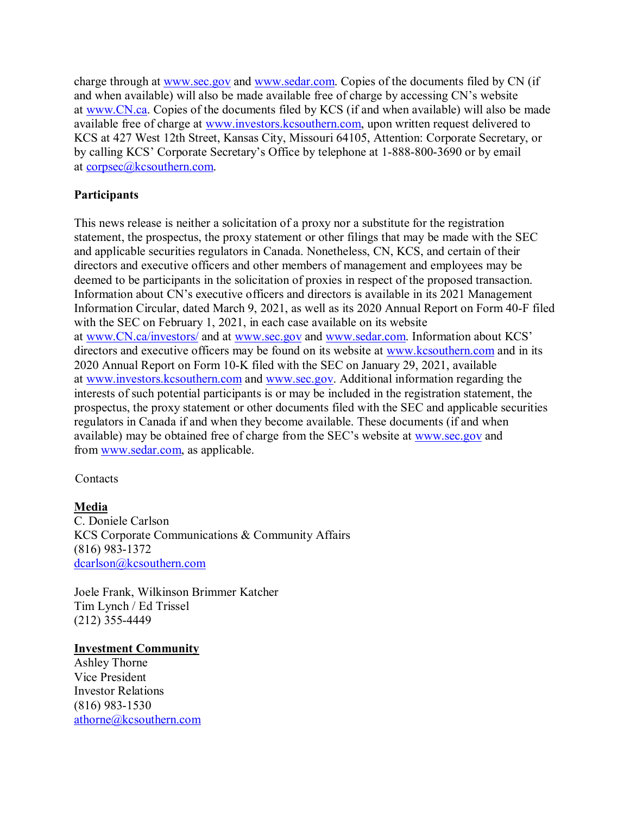charge through at [www.sec.gov](https://cts.businesswire.com/ct/CT?id=smartlink&url=http%3A%2F%2Fwww.sec.gov&esheet=52469468&newsitemid=20210802005211&lan=en-US&anchor=www.sec.gov&index=4&md5=cddb0e018dfde49dd25fe3fb57a6c8ea) and [www.sedar.com.](https://cts.businesswire.com/ct/CT?id=smartlink&url=http%3A%2F%2Fwww.sedar.com&esheet=52469468&newsitemid=20210802005211&lan=en-US&anchor=www.sedar.com&index=5&md5=e35ae3b0c3f8999365f455ad8c844213) Copies of the documents filed by CN (if and when available) will also be made available free of charge by accessing CN's website at [www.CN.ca.](https://cts.businesswire.com/ct/CT?id=smartlink&url=http%3A%2F%2Fwww.CN.ca&esheet=52469468&newsitemid=20210802005211&lan=en-US&anchor=www.CN.ca&index=6&md5=752624abf7db272500ea1a0f04a8d778) Copies of the documents filed by KCS (if and when available) will also be made available free of charge at [www.investors.kcsouthern.com,](https://cts.businesswire.com/ct/CT?id=smartlink&url=http%3A%2F%2Fwww.investors.kcsouthern.com&esheet=52469468&newsitemid=20210802005211&lan=en-US&anchor=www.investors.kcsouthern.com&index=7&md5=fa839d2cfa9b4e6e68997481ce8a70c3) upon written request delivered to KCS at 427 West 12th Street, Kansas City, Missouri 64105, Attention: Corporate Secretary, or by calling KCS' Corporate Secretary's Office by telephone at 1-888-800-3690 or by email at [corpsec@kcsouthern.com.](mailto:corpsec@kcsouthern.com)

# **Participants**

This news release is neither a solicitation of a proxy nor a substitute for the registration statement, the prospectus, the proxy statement or other filings that may be made with the SEC and applicable securities regulators in Canada. Nonetheless, CN, KCS, and certain of their directors and executive officers and other members of management and employees may be deemed to be participants in the solicitation of proxies in respect of the proposed transaction. Information about CN's executive officers and directors is available in its 2021 Management Information Circular, dated March 9, 2021, as well as its 2020 Annual Report on Form 40-F filed with the SEC on February 1, 2021, in each case available on its website at [www.CN.ca/investors/](https://cts.businesswire.com/ct/CT?id=smartlink&url=http%3A%2F%2Fwww.CN.ca%2Finvestors%2F&esheet=52469468&newsitemid=20210802005211&lan=en-US&anchor=www.CN.ca%2Finvestors%2F&index=8&md5=ba3095968f9c15ff6e9dd4be210105f8) and at [www.sec.gov](https://cts.businesswire.com/ct/CT?id=smartlink&url=http%3A%2F%2Fwww.sec.gov&esheet=52469468&newsitemid=20210802005211&lan=en-US&anchor=www.sec.gov&index=9&md5=aee92e1a9394def38131648d560d943e) and [www.sedar.com.](https://cts.businesswire.com/ct/CT?id=smartlink&url=http%3A%2F%2Fwww.sedar.com&esheet=52469468&newsitemid=20210802005211&lan=en-US&anchor=www.sedar.com&index=10&md5=dfbec9375153a77714879d2a0911242c) Information about KCS' directors and executive officers may be found on its website at [www.kcsouthern.com](https://cts.businesswire.com/ct/CT?id=smartlink&url=http%3A%2F%2Fwww.kcsouthern.com&esheet=52469468&newsitemid=20210802005211&lan=en-US&anchor=www.kcsouthern.com&index=11&md5=aab4cff5dc67ae3456d5cb99e8528b6b) and in its 2020 Annual Report on Form 10-K filed with the SEC on January 29, 2021, available at [www.investors.kcsouthern.com](https://cts.businesswire.com/ct/CT?id=smartlink&url=http%3A%2F%2Fwww.investors.kcsouthern.com&esheet=52469468&newsitemid=20210802005211&lan=en-US&anchor=www.investors.kcsouthern.com&index=12&md5=c8805716d56c8aaafd2605660d55f30e) and [www.sec.gov.](https://cts.businesswire.com/ct/CT?id=smartlink&url=http%3A%2F%2Fwww.sec.gov&esheet=52469468&newsitemid=20210802005211&lan=en-US&anchor=www.sec.gov&index=13&md5=c096066220e9a20f67f9ce5104ae33a3) Additional information regarding the interests of such potential participants is or may be included in the registration statement, the prospectus, the proxy statement or other documents filed with the SEC and applicable securities regulators in Canada if and when they become available. These documents (if and when available) may be obtained free of charge from the SEC's website at [www.sec.gov](https://cts.businesswire.com/ct/CT?id=smartlink&url=http%3A%2F%2Fwww.sec.gov&esheet=52469468&newsitemid=20210802005211&lan=en-US&anchor=www.sec.gov&index=14&md5=c9194f9c01782418fec576b903644287) and from [www.sedar.com,](https://cts.businesswire.com/ct/CT?id=smartlink&url=http%3A%2F%2Fwww.sedar.com&esheet=52469468&newsitemid=20210802005211&lan=en-US&anchor=www.sedar.com&index=15&md5=5371761aa05ad7456dfb7459f89370c4) as applicable.

**Contacts** 

## **Media**

C. Doniele Carlson KCS Corporate Communications & Community Affairs (816) 983-1372 [dcarlson@kcsouthern.com](mailto:dcarlson@kcsouthern.com)

Joele Frank, Wilkinson Brimmer Katcher Tim Lynch / Ed Trissel (212) 355-4449

#### **Investment Community**

Ashley Thorne Vice President Investor Relations (816) 983-1530 [athorne@kcsouthern.com](mailto:athorne@kcsouthern.com)